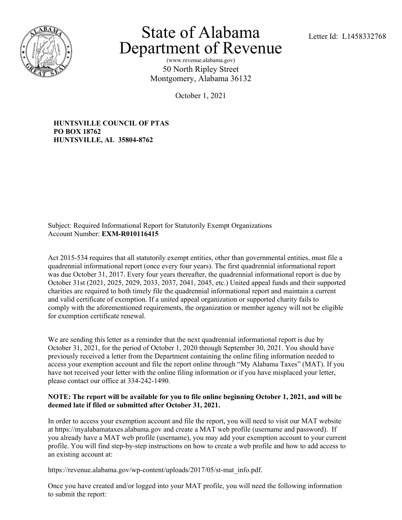

## State of Alabama Letter Id: L1458332768 Department of Revenue

(www.revenue.alabama.gov) 50 North Ripley Street Montgomery, Alabama 36132

October 1, 2021

**HUNTSVILLE COUNCIL OF PTAS PO BOX 18762 HUNTSVILLE, AL 35804-8762**

Subject: Required Informational Report for Statutorily Exempt Organizations Account Number: **EXM-R010116415**

Act 2015-534 requires that all statutorily exempt entities, other than governmental entities, must file a quadrennial informational report (once every four years). The first quadrennial informational report was due October 31, 2017. Every four years thereafter, the quadrennial informational report is due by October 31st (2021, 2025, 2029, 2033, 2037, 2041, 2045, etc.) United appeal funds and their supported charities are required to both timely file the quadrennial informational report and maintain a current and valid certificate of exemption. If a united appeal organization or supported charity fails to comply with the aforementioned requirements, the organization or member agency will not be eligible for exemption certificate renewal.

We are sending this letter as a reminder that the next quadrennial informational report is due by October 31, 2021, for the period of October 1, 2020 through September 30, 2021. You should have previously received a letter from the Department containing the online filing information needed to access your exemption account and file the report online through "My Alabama Taxes" (MAT). If you have not received your letter with the online filing information or if you have misplaced your letter, please contact our office at 334-242-1490.

## **NOTE: The report will be available for you to file online beginning October 1, 2021, and will be deemed late if filed or submitted after October 31, 2021.**

In order to access your exemption account and file the report, you will need to visit our MAT website at https://myalabamataxes.alabama.gov and create a MAT web profile (username and password). If you already have a MAT web profile (username), you may add your exemption account to your current profile. You will find step-by-step instructions on how to create a web profile and how to add access to an existing account at:

https://revenue.alabama.gov/wp-content/uploads/2017/05/st-mat\_info.pdf.

Once you have created and/or logged into your MAT profile, you will need the following information to submit the report: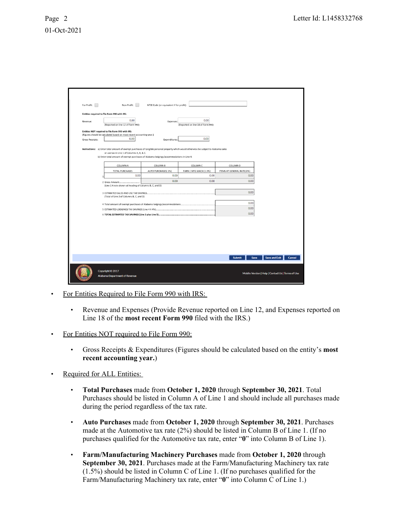| For Profit:                                                                                                                                                                                                                                                                      | Non-Profit:                                       | NTEE Code (or equivalent if for profit):       |                                |                                    |                                                   |
|----------------------------------------------------------------------------------------------------------------------------------------------------------------------------------------------------------------------------------------------------------------------------------|---------------------------------------------------|------------------------------------------------|--------------------------------|------------------------------------|---------------------------------------------------|
| Entities required to file Form 990 with IRS:                                                                                                                                                                                                                                     |                                                   |                                                |                                |                                    |                                                   |
| Revenue:                                                                                                                                                                                                                                                                         | 0.00<br>(Reported on line 12 of Form 990)         | Expenses:<br>(Reported on line 18 of Form 990) |                                |                                    |                                                   |
| Entities NOT required to file Form 990 with IRS:<br>(Figures should be calculated based on most recent accounting year.)                                                                                                                                                         |                                                   |                                                |                                |                                    |                                                   |
| <b>Gross Receipts:</b>                                                                                                                                                                                                                                                           | 0.00                                              | Expenditures:                                  | 0.00                           |                                    |                                                   |
| Instructions: a) Enter total amount of exempt purchases of tangible personal property which would otherwise be subject to Alabama sales<br>or use tax in Line 1 of Columns A, B, & C.<br>b) Enter total amount of exempt purchases of Alabama lodgings/accommodations in Line 4. |                                                   |                                                |                                |                                    |                                                   |
|                                                                                                                                                                                                                                                                                  | COLUMN A                                          | COLUMN B                                       | COLUMN C                       | COLUMN D                           |                                                   |
|                                                                                                                                                                                                                                                                                  | <b>TOTAL PURCHASES</b><br>0.00                    | AUTO PURCHASES(2%)<br>0.00                     | FARM / MFG MACH (1.5%)<br>0.00 | ITEMS AT GENERAL RATE (4%)<br>0.00 |                                                   |
|                                                                                                                                                                                                                                                                                  |                                                   | 0.00                                           | 0.00                           | 0.00                               |                                                   |
| 2 Gross Amount<br>(Line 1 X rate shown at heading of Columns B, C, and D)                                                                                                                                                                                                        |                                                   |                                                |                                |                                    |                                                   |
| 0.00<br>3 ESTIMATED SALES AND USE TAX SAVINGS.<br>(Total of Line 2 of Columns B, C, and D)                                                                                                                                                                                       |                                                   |                                                |                                |                                    |                                                   |
| 4 Total amount of exempt purchases of Alabama lodgings/accommodations                                                                                                                                                                                                            |                                                   |                                                |                                | 0.00                               |                                                   |
| 5 ESTIMATED LODGINGS TAX SAVINGS (Line 4 X 4%)                                                                                                                                                                                                                                   |                                                   |                                                |                                | 0.00                               |                                                   |
|                                                                                                                                                                                                                                                                                  |                                                   |                                                |                                | 0.00                               |                                                   |
|                                                                                                                                                                                                                                                                                  |                                                   |                                                |                                |                                    |                                                   |
|                                                                                                                                                                                                                                                                                  |                                                   |                                                |                                | <b>Submit</b>                      | <b>Save and Exit</b><br>Cancel<br>Save            |
|                                                                                                                                                                                                                                                                                  | Copyright © 2017<br>Alabama Department of Revenue |                                                |                                |                                    | Mobile Version   Help   Contact Us   Terms of Use |

- For Entities Required to File Form 990 with IRS:
	- Revenue and Expenses (Provide Revenue reported on Line 12, and Expenses reported on Line 18 of the **most recent Form 990** filed with the IRS.)
- For Entities NOT required to File Form 990:
	- Gross Receipts & Expenditures (Figures should be calculated based on the entity's **most recent accounting year.**)
- Required for ALL Entities:
	- **Total Purchases** made from **October 1, 2020** through **September 30, 2021**. Total Purchases should be listed in Column A of Line 1 and should include all purchases made during the period regardless of the tax rate.
	- **Auto Purchases** made from **October 1, 2020** through **September 30, 2021**. Purchases made at the Automotive tax rate (2%) should be listed in Column B of Line 1. (If no purchases qualified for the Automotive tax rate, enter "**0**" into Column B of Line 1).
	- **Farm/Manufacturing Machinery Purchases** made from **October 1, 2020** through **September 30, 2021**. Purchases made at the Farm/Manufacturing Machinery tax rate (1.5%) should be listed in Column C of Line 1. (If no purchases qualified for the Farm/Manufacturing Machinery tax rate, enter "**0**" into Column C of Line 1.)